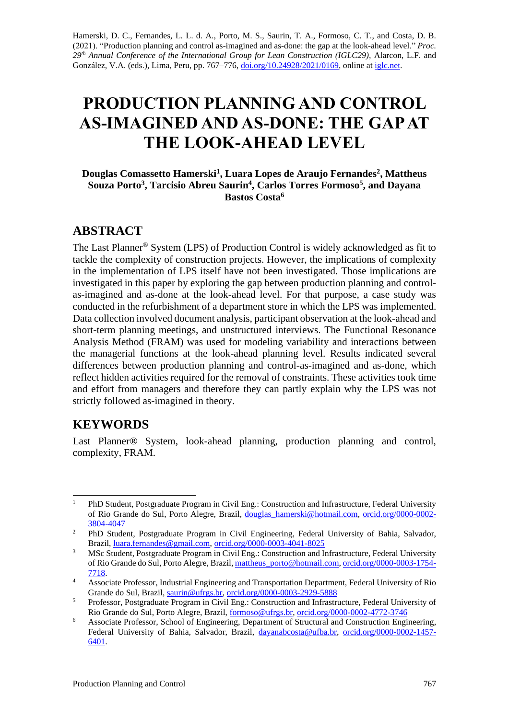Hamerski, D. C., Fernandes, L. L. d. A., Porto, M. S., Saurin, T. A., Formoso, C. T., and Costa, D. B. (2021). "Production planning and control as-imagined and as-done: the gap at the look-ahead level." *Proc. 29th Annual Conference of the International Group for Lean Construction (IGLC29),* Alarcon, L.F. and González, V.A. (eds.)*,* Lima, Peru, pp. 767–776[, doi.org/10.24928/2021/0169,](https://doi.org/10.24928/2021/0169) online a[t iglc.net.](http://iglc.net/)

# **PRODUCTION PLANNING AND CONTROL AS-IMAGINED AND AS-DONE: THE GAP AT THE LOOK-AHEAD LEVEL**

#### **Douglas Comassetto Hamerski<sup>1</sup> , Luara Lopes de Araujo Fernandes<sup>2</sup> , Mattheus Souza Porto<sup>3</sup> , Tarcisio Abreu Saurin<sup>4</sup> , Carlos Torres Formoso<sup>5</sup> , and Dayana Bastos Costa<sup>6</sup>**

### **ABSTRACT**

The Last Planner® System (LPS) of Production Control is widely acknowledged as fit to tackle the complexity of construction projects. However, the implications of complexity in the implementation of LPS itself have not been investigated. Those implications are investigated in this paper by exploring the gap between production planning and controlas-imagined and as-done at the look-ahead level. For that purpose, a case study was conducted in the refurbishment of a department store in which the LPS was implemented. Data collection involved document analysis, participant observation at the look-ahead and short-term planning meetings, and unstructured interviews. The Functional Resonance Analysis Method (FRAM) was used for modeling variability and interactions between the managerial functions at the look-ahead planning level. Results indicated several differences between production planning and control-as-imagined and as-done, which reflect hidden activities required for the removal of constraints. These activities took time and effort from managers and therefore they can partly explain why the LPS was not strictly followed as-imagined in theory.

### **KEYWORDS**

Last Planner® System, look-ahead planning, production planning and control, complexity, FRAM.

<sup>&</sup>lt;sup>1</sup> PhD Student, Postgraduate Program in Civil Eng.: Construction and Infrastructure, Federal University of Rio Grande do Sul, Porto Alegre, Brazil, [douglas\\_hamerski@hotmail.com,](mailto:douglas_hamerski@hotmail.com) [orcid.org/0000-0002-](https://orcid.org/0000-0002-3804-4047) [3804-4047](https://orcid.org/0000-0002-3804-4047)

<sup>&</sup>lt;sup>2</sup> PhD Student, Postgraduate Program in Civil Engineering, Federal University of Bahia, Salvador, Brazil[, luara.fernandes@gmail.com,](mailto:luara.fernandes@gmail.com) [orcid.org/0000-0003-4041-8025](https://orcid.org/0000-0003-4041-8025)

<sup>&</sup>lt;sup>3</sup> MSc Student, Postgraduate Program in Civil Eng.: Construction and Infrastructure, Federal University of Rio Grande do Sul, Porto Alegre, Brazil[, mattheus\\_porto@hotmail.com,](mailto:mattheus_porto@hotmail.com) [orcid.org/0000-0003-1754-](https://orcid.org/0000-0003-1754-7718) [7718.](https://orcid.org/0000-0003-1754-7718)

<sup>4</sup> Associate Professor, Industrial Engineering and Transportation Department, Federal University of Rio Grande do Sul, Brazil, [saurin@ufrgs.br,](mailto:saurin@ufrgs.br) [orcid.org/0000-0003-2929-5888](https://orcid.org/0000-0003-2929-5888)

<sup>&</sup>lt;sup>5</sup> Professor, Postgraduate Program in Civil Eng.: Construction and Infrastructure, Federal University of Rio Grande do Sul, Porto Alegre, Brazil[, formoso@ufrgs.br,](mailto:formoso@ufrgs.br) [orcid.org/0000-0002-4772-3746](https://orcid.org/0000-0002-4772-3746)

<sup>&</sup>lt;sup>6</sup> Associate Professor, School of Engineering, Department of Structural and Construction Engineering, Federal University of Bahia, Salvador, Brazil, [dayanabcosta@ufba.br,](mailto:dayanabcosta@ufba.br) [orcid.org/0000-0002-1457-](https://orcid.org/0000-0002-1457-6401) [6401.](https://orcid.org/0000-0002-1457-6401)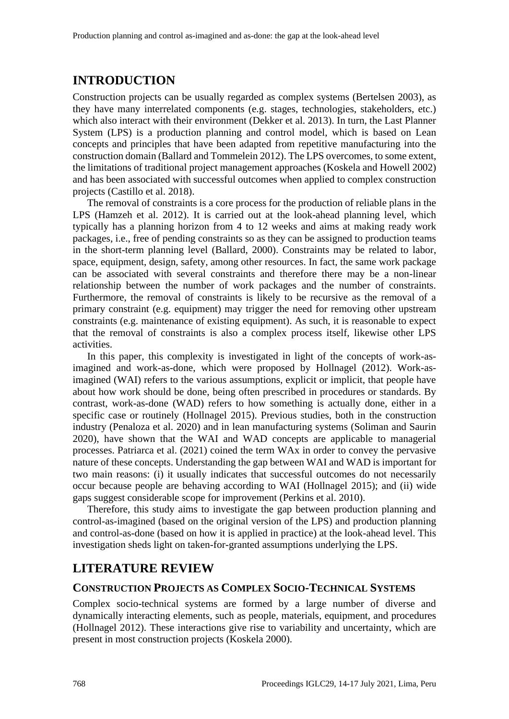### **INTRODUCTION**

Construction projects can be usually regarded as complex systems (Bertelsen 2003), as they have many interrelated components (e.g. stages, technologies, stakeholders, etc.) which also interact with their environment (Dekker et al. 2013). In turn, the Last Planner System (LPS) is a production planning and control model, which is based on Lean concepts and principles that have been adapted from repetitive manufacturing into the construction domain (Ballard and Tommelein 2012). The LPS overcomes, to some extent, the limitations of traditional project management approaches (Koskela and Howell 2002) and has been associated with successful outcomes when applied to complex construction projects (Castillo et al. 2018).

The removal of constraints is a core process for the production of reliable plans in the LPS (Hamzeh et al. 2012). It is carried out at the look-ahead planning level, which typically has a planning horizon from 4 to 12 weeks and aims at making ready work packages, i.e., free of pending constraints so as they can be assigned to production teams in the short-term planning level (Ballard, 2000). Constraints may be related to labor, space, equipment, design, safety, among other resources. In fact, the same work package can be associated with several constraints and therefore there may be a non-linear relationship between the number of work packages and the number of constraints. Furthermore, the removal of constraints is likely to be recursive as the removal of a primary constraint (e.g. equipment) may trigger the need for removing other upstream constraints (e.g. maintenance of existing equipment). As such, it is reasonable to expect that the removal of constraints is also a complex process itself, likewise other LPS activities.

In this paper, this complexity is investigated in light of the concepts of work-asimagined and work-as-done, which were proposed by Hollnagel (2012). Work-asimagined (WAI) refers to the various assumptions, explicit or implicit, that people have about how work should be done, being often prescribed in procedures or standards. By contrast, work-as-done (WAD) refers to how something is actually done, either in a specific case or routinely (Hollnagel 2015). Previous studies, both in the construction industry (Penaloza et al. 2020) and in lean manufacturing systems (Soliman and Saurin 2020), have shown that the WAI and WAD concepts are applicable to managerial processes. Patriarca et al. (2021) coined the term WAx in order to convey the pervasive nature of these concepts. Understanding the gap between WAI and WAD is important for two main reasons: (i) it usually indicates that successful outcomes do not necessarily occur because people are behaving according to WAI (Hollnagel 2015); and (ii) wide gaps suggest considerable scope for improvement (Perkins et al. 2010).

Therefore, this study aims to investigate the gap between production planning and control-as-imagined (based on the original version of the LPS) and production planning and control-as-done (based on how it is applied in practice) at the look-ahead level. This investigation sheds light on taken-for-granted assumptions underlying the LPS.

### **LITERATURE REVIEW**

#### **CONSTRUCTION PROJECTS AS COMPLEX SOCIO-TECHNICAL SYSTEMS**

Complex socio-technical systems are formed by a large number of diverse and dynamically interacting elements, such as people, materials, equipment, and procedures (Hollnagel 2012). These interactions give rise to variability and uncertainty, which are present in most construction projects (Koskela 2000).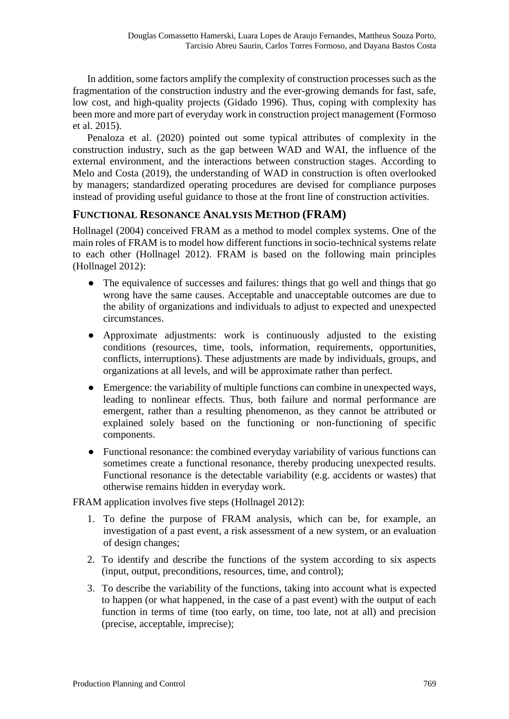In addition, some factors amplify the complexity of construction processes such as the fragmentation of the construction industry and the ever-growing demands for fast, safe, low cost, and high-quality projects (Gidado 1996). Thus, coping with complexity has been more and more part of everyday work in construction project management (Formoso et al. 2015).

Penaloza et al. (2020) pointed out some typical attributes of complexity in the construction industry, such as the gap between WAD and WAI, the influence of the external environment, and the interactions between construction stages. According to Melo and Costa (2019), the understanding of WAD in construction is often overlooked by managers; standardized operating procedures are devised for compliance purposes instead of providing useful guidance to those at the front line of construction activities.

#### **FUNCTIONAL RESONANCE ANALYSIS METHOD (FRAM)**

Hollnagel (2004) conceived FRAM as a method to model complex systems. One of the main roles of FRAM is to model how different functions in socio-technical systems relate to each other (Hollnagel 2012). FRAM is based on the following main principles (Hollnagel 2012):

- The equivalence of successes and failures: things that go well and things that go wrong have the same causes. Acceptable and unacceptable outcomes are due to the ability of organizations and individuals to adjust to expected and unexpected circumstances.
- Approximate adjustments: work is continuously adjusted to the existing conditions (resources, time, tools, information, requirements, opportunities, conflicts, interruptions). These adjustments are made by individuals, groups, and organizations at all levels, and will be approximate rather than perfect.
- Emergence: the variability of multiple functions can combine in unexpected ways, leading to nonlinear effects. Thus, both failure and normal performance are emergent, rather than a resulting phenomenon, as they cannot be attributed or explained solely based on the functioning or non-functioning of specific components.
- Functional resonance: the combined everyday variability of various functions can sometimes create a functional resonance, thereby producing unexpected results. Functional resonance is the detectable variability (e.g. accidents or wastes) that otherwise remains hidden in everyday work.

FRAM application involves five steps (Hollnagel 2012):

- 1. To define the purpose of FRAM analysis, which can be, for example, an investigation of a past event, a risk assessment of a new system, or an evaluation of design changes;
- 2. To identify and describe the functions of the system according to six aspects (input, output, preconditions, resources, time, and control);
- 3. To describe the variability of the functions, taking into account what is expected to happen (or what happened, in the case of a past event) with the output of each function in terms of time (too early, on time, too late, not at all) and precision (precise, acceptable, imprecise);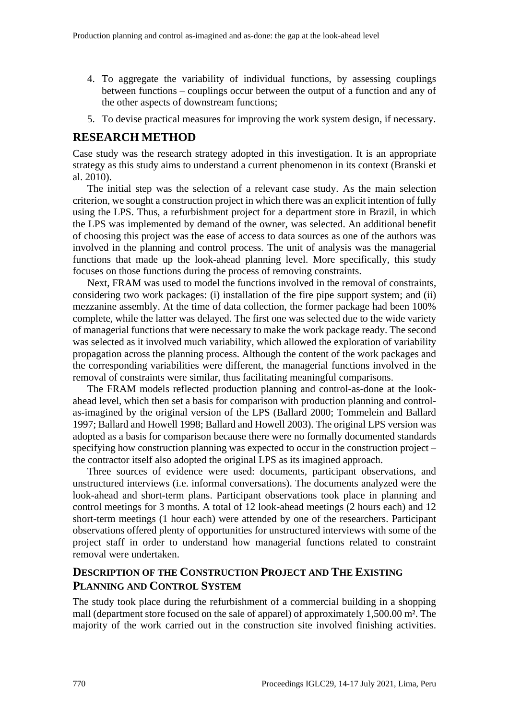- 4. To aggregate the variability of individual functions, by assessing couplings between functions – couplings occur between the output of a function and any of the other aspects of downstream functions;
- 5. To devise practical measures for improving the work system design, if necessary.

#### **RESEARCH METHOD**

Case study was the research strategy adopted in this investigation. It is an appropriate strategy as this study aims to understand a current phenomenon in its context (Branski et al. 2010).

The initial step was the selection of a relevant case study. As the main selection criterion, we sought a construction project in which there was an explicit intention of fully using the LPS. Thus, a refurbishment project for a department store in Brazil, in which the LPS was implemented by demand of the owner, was selected. An additional benefit of choosing this project was the ease of access to data sources as one of the authors was involved in the planning and control process. The unit of analysis was the managerial functions that made up the look-ahead planning level. More specifically, this study focuses on those functions during the process of removing constraints.

Next, FRAM was used to model the functions involved in the removal of constraints, considering two work packages: (i) installation of the fire pipe support system; and (ii) mezzanine assembly. At the time of data collection, the former package had been 100% complete, while the latter was delayed. The first one was selected due to the wide variety of managerial functions that were necessary to make the work package ready. The second was selected as it involved much variability, which allowed the exploration of variability propagation across the planning process. Although the content of the work packages and the corresponding variabilities were different, the managerial functions involved in the removal of constraints were similar, thus facilitating meaningful comparisons.

The FRAM models reflected production planning and control-as-done at the lookahead level, which then set a basis for comparison with production planning and controlas-imagined by the original version of the LPS (Ballard 2000; Tommelein and Ballard 1997; Ballard and Howell 1998; Ballard and Howell 2003). The original LPS version was adopted as a basis for comparison because there were no formally documented standards specifying how construction planning was expected to occur in the construction project – the contractor itself also adopted the original LPS as its imagined approach.

Three sources of evidence were used: documents, participant observations, and unstructured interviews (i.e. informal conversations). The documents analyzed were the look-ahead and short-term plans. Participant observations took place in planning and control meetings for 3 months. A total of 12 look-ahead meetings (2 hours each) and 12 short-term meetings (1 hour each) were attended by one of the researchers. Participant observations offered plenty of opportunities for unstructured interviews with some of the project staff in order to understand how managerial functions related to constraint removal were undertaken.

#### **DESCRIPTION OF THE CONSTRUCTION PROJECT AND THE EXISTING PLANNING AND CONTROL SYSTEM**

The study took place during the refurbishment of a commercial building in a shopping mall (department store focused on the sale of apparel) of approximately 1,500.00 m². The majority of the work carried out in the construction site involved finishing activities.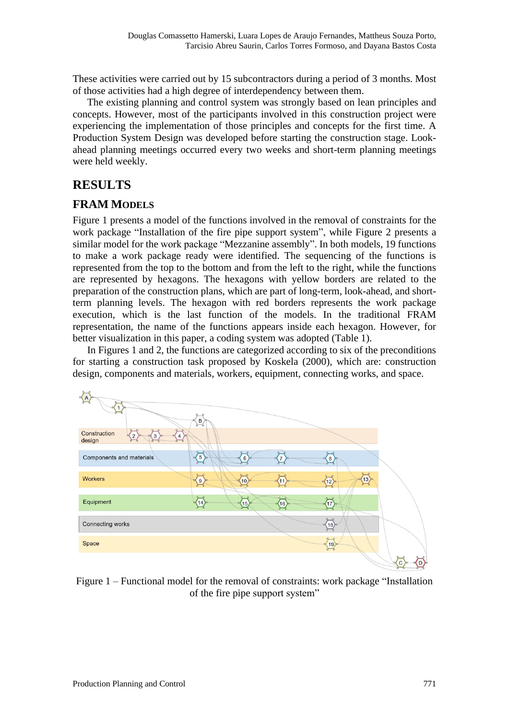These activities were carried out by 15 subcontractors during a period of 3 months. Most of those activities had a high degree of interdependency between them.

The existing planning and control system was strongly based on lean principles and concepts. However, most of the participants involved in this construction project were experiencing the implementation of those principles and concepts for the first time. A Production System Design was developed before starting the construction stage. Lookahead planning meetings occurred every two weeks and short-term planning meetings were held weekly.

## **RESULTS**

### **FRAM MODELS**

Figure 1 presents a model of the functions involved in the removal of constraints for the work package "Installation of the fire pipe support system", while Figure 2 presents a similar model for the work package "Mezzanine assembly". In both models, 19 functions to make a work package ready were identified. The sequencing of the functions is represented from the top to the bottom and from the left to the right, while the functions are represented by hexagons. The hexagons with yellow borders are related to the preparation of the construction plans, which are part of long-term, look-ahead, and shortterm planning levels. The hexagon with red borders represents the work package execution, which is the last function of the models. In the traditional FRAM representation, the name of the functions appears inside each hexagon. However, for better visualization in this paper, a coding system was adopted (Table 1).

In Figures 1 and 2, the functions are categorized according to six of the preconditions for starting a construction task proposed by Koskela (2000), which are: construction design, components and materials, workers, equipment, connecting works, and space.



#### Figure 1 – Functional model for the removal of constraints: work package "Installation of the fire pipe support system"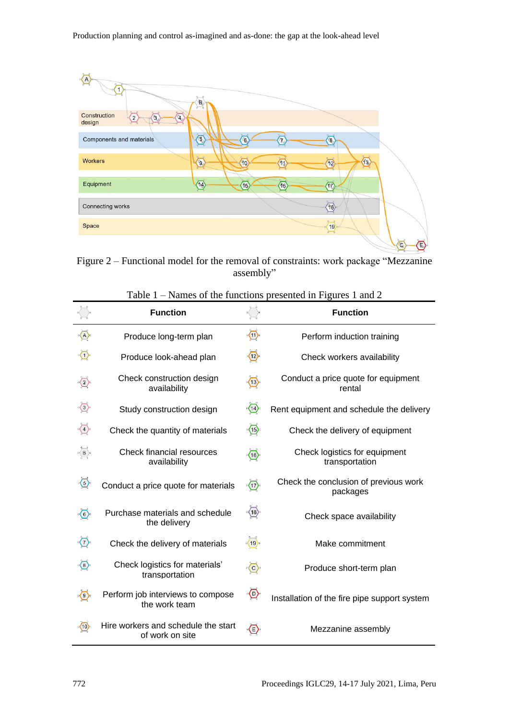#### Production planning and control as-imagined and as-done: the gap at the look-ahead level



Figure 2 – Functional model for the removal of constraints: work package "Mezzanine assembly"

|                         | <b>Function</b>                                        |                        | <b>Function</b>                                   |
|-------------------------|--------------------------------------------------------|------------------------|---------------------------------------------------|
| (А                      | Produce long-term plan                                 | $\langle \cap \rangle$ | Perform induction training                        |
| (1)                     | Produce look-ahead plan                                | ⊙∗                     | Check workers availability                        |
| ⊙                       | Check construction design<br>availability              | $\sqrt{13}$            | Conduct a price quote for equipment<br>rental     |
|                         | Study construction design                              | $\sqrt[3]{14}$         | Rent equipment and schedule the delivery          |
| $\langle 4 \rangle$     | Check the quantity of materials                        | $\langle 15 \rangle$   | Check the delivery of equipment                   |
| $\sqrt{B}$              | Check financial resources<br>availability              | $\langle 16 \rangle$   | Check logistics for equipment<br>transportation   |
| ⊙                       | Conduct a price quote for materials                    | $\sqrt{17}$            | Check the conclusion of previous work<br>packages |
| $\bigcirc$              | Purchase materials and schedule<br>the delivery        | $\langle 18 \rangle$   | Check space availability                          |
| $\binom{7}{ }$          | Check the delivery of materials                        | $\sqrt{19}$            | Make commitment                                   |
| $\langle 8 \rangle$     | Check logistics for materials'<br>transportation       | $\langle \bigcirc$     | Produce short-term plan                           |
| $\langle \cdot \rangle$ | Perform job interviews to compose<br>the work team     | $\odot$                | Installation of the fire pipe support system      |
| ⋒                       | Hire workers and schedule the start<br>of work on site | $\langle \ \rangle$    | Mezzanine assembly                                |

| Table 1 – Names of the functions presented in Figures 1 and 2 |  |
|---------------------------------------------------------------|--|
|---------------------------------------------------------------|--|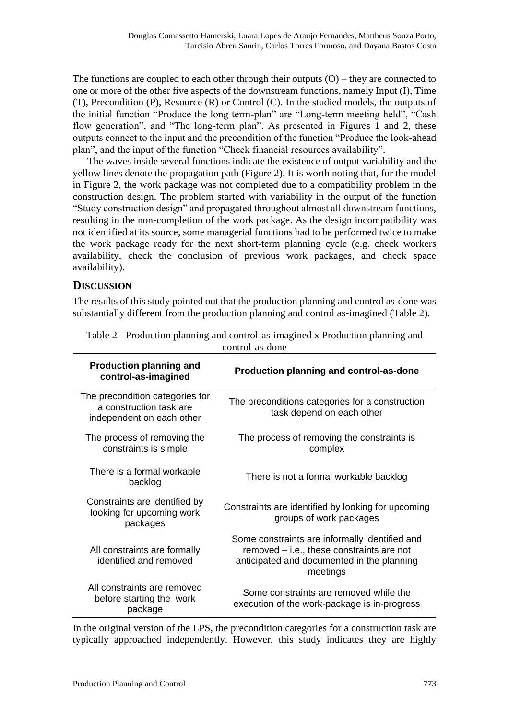The functions are coupled to each other through their outputs  $(O)$  – they are connected to one or more of the other five aspects of the downstream functions, namely Input (I), Time (T), Precondition (P), Resource (R) or Control (C). In the studied models, the outputs of the initial function "Produce the long term-plan" are "Long-term meeting held", "Cash flow generation", and "The long-term plan". As presented in Figures 1 and 2, these outputs connect to the input and the precondition of the function "Produce the look-ahead plan", and the input of the function "Check financial resources availability".

The waves inside several functions indicate the existence of output variability and the yellow lines denote the propagation path (Figure 2). It is worth noting that, for the model in Figure 2, the work package was not completed due to a compatibility problem in the construction design. The problem started with variability in the output of the function "Study construction design" and propagated throughout almost all downstream functions, resulting in the non-completion of the work package. As the design incompatibility was not identified at its source, some managerial functions had to be performed twice to make the work package ready for the next short-term planning cycle (e.g. check workers availability, check the conclusion of previous work packages, and check space availability).

#### **DISCUSSION**

The results of this study pointed out that the production planning and control as-done was substantially different from the production planning and control as-imagined (Table 2).

| <b>Production planning and</b><br>control-as-imagined                                   | Production planning and control-as-done                                                                                                               |
|-----------------------------------------------------------------------------------------|-------------------------------------------------------------------------------------------------------------------------------------------------------|
| The precondition categories for<br>a construction task are<br>independent on each other | The preconditions categories for a construction<br>task depend on each other                                                                          |
| The process of removing the<br>constraints is simple                                    | The process of removing the constraints is<br>complex                                                                                                 |
| There is a formal workable<br>backlog                                                   | There is not a formal workable backlog                                                                                                                |
| Constraints are identified by<br>looking for upcoming work<br>packages                  | Constraints are identified by looking for upcoming<br>groups of work packages                                                                         |
| All constraints are formally<br>identified and removed                                  | Some constraints are informally identified and<br>removed - i.e., these constraints are not<br>anticipated and documented in the planning<br>meetings |
| All constraints are removed<br>before starting the work<br>package                      | Some constraints are removed while the<br>execution of the work-package is in-progress                                                                |

Table 2 - Production planning and control-as-imagined x Production planning and control-as-done

In the original version of the LPS, the precondition categories for a construction task are typically approached independently. However, this study indicates they are highly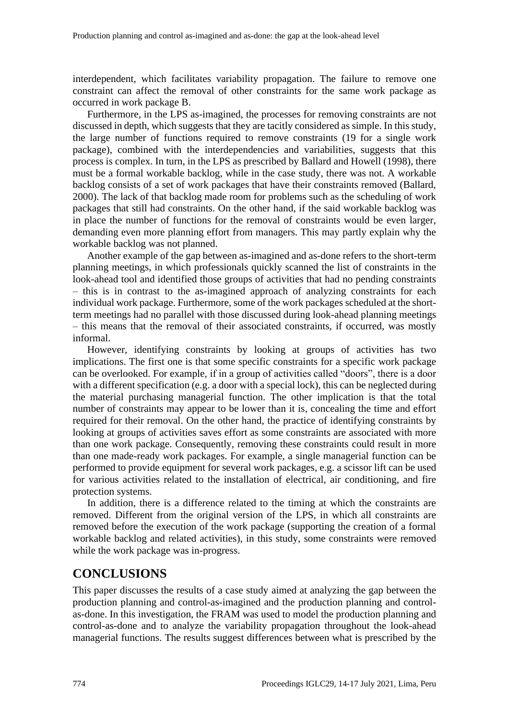interdependent, which facilitates variability propagation. The failure to remove one constraint can affect the removal of other constraints for the same work package as occurred in work package B.

Furthermore, in the LPS as-imagined, the processes for removing constraints are not discussed in depth, which suggests that they are tacitly considered as simple. In this study, the large number of functions required to remove constraints (19 for a single work package), combined with the interdependencies and variabilities, suggests that this process is complex. In turn, in the LPS as prescribed by Ballard and Howell (1998), there must be a formal workable backlog, while in the case study, there was not. A workable backlog consists of a set of work packages that have their constraints removed (Ballard, 2000). The lack of that backlog made room for problems such as the scheduling of work packages that still had constraints. On the other hand, if the said workable backlog was in place the number of functions for the removal of constraints would be even larger, demanding even more planning effort from managers. This may partly explain why the workable backlog was not planned.

Another example of the gap between as-imagined and as-done refers to the short-term planning meetings, in which professionals quickly scanned the list of constraints in the look-ahead tool and identified those groups of activities that had no pending constraints – this is in contrast to the as-imagined approach of analyzing constraints for each individual work package. Furthermore, some of the work packages scheduled at the shortterm meetings had no parallel with those discussed during look-ahead planning meetings – this means that the removal of their associated constraints, if occurred, was mostly informal.

However, identifying constraints by looking at groups of activities has two implications. The first one is that some specific constraints for a specific work package can be overlooked. For example, if in a group of activities called "doors", there is a door with a different specification (e.g. a door with a special lock), this can be neglected during the material purchasing managerial function. The other implication is that the total number of constraints may appear to be lower than it is, concealing the time and effort required for their removal. On the other hand, the practice of identifying constraints by looking at groups of activities saves effort as some constraints are associated with more than one work package. Consequently, removing these constraints could result in more than one made-ready work packages. For example, a single managerial function can be performed to provide equipment for several work packages, e.g. a scissor lift can be used for various activities related to the installation of electrical, air conditioning, and fire protection systems.

In addition, there is a difference related to the timing at which the constraints are removed. Different from the original version of the LPS, in which all constraints are removed before the execution of the work package (supporting the creation of a formal workable backlog and related activities), in this study, some constraints were removed while the work package was in-progress.

### **CONCLUSIONS**

This paper discusses the results of a case study aimed at analyzing the gap between the production planning and control-as-imagined and the production planning and controlas-done. In this investigation, the FRAM was used to model the production planning and control-as-done and to analyze the variability propagation throughout the look-ahead managerial functions. The results suggest differences between what is prescribed by the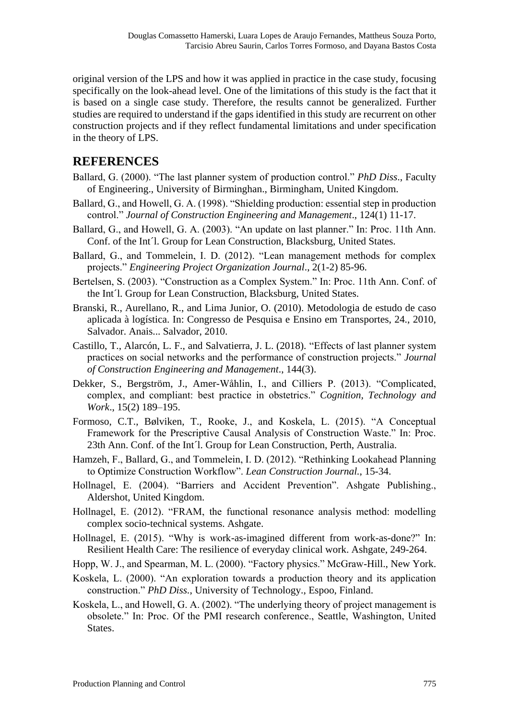original version of the LPS and how it was applied in practice in the case study, focusing specifically on the look-ahead level. One of the limitations of this study is the fact that it is based on a single case study. Therefore, the results cannot be generalized. Further studies are required to understand if the gaps identified in this study are recurrent on other construction projects and if they reflect fundamental limitations and under specification in the theory of LPS.

### **REFERENCES**

- Ballard, G. (2000). "The last planner system of production control." *PhD Diss*., Faculty of Engineering., University of Birminghan., Birmingham, United Kingdom.
- Ballard, G., and Howell, G. A. (1998). "Shielding production: essential step in production control." *Journal of Construction Engineering and Management*., 124(1) 11-17.
- Ballard, G., and Howell, G. A. (2003). "An update on last planner." In: Proc. 11th Ann. Conf. of the Int´l. Group for Lean Construction, Blacksburg, United States.
- Ballard, G., and Tommelein, I. D. (2012). "Lean management methods for complex projects." *Engineering Project Organization Journal*., 2(1-2) 85-96.
- Bertelsen, S. (2003). "Construction as a Complex System." In: Proc. 11th Ann. Conf. of the Int´l. Group for Lean Construction, Blacksburg, United States.
- Branski, R., Aurellano, R., and Lima Junior, O. (2010). Metodologia de estudo de caso aplicada à logística. In: Congresso de Pesquisa e Ensino em Transportes, 24., 2010, Salvador. Anais... Salvador, 2010.
- Castillo, T., Alarcón, L. F., and Salvatierra, J. L. (2018). "Effects of last planner system practices on social networks and the performance of construction projects." *Journal of Construction Engineering and Management*., 144(3).
- Dekker, S., Bergström, J., Amer-Wåhlin, I., and Cilliers P. (2013). "Complicated, complex, and compliant: best practice in obstetrics." *Cognition, Technology and Work*., 15(2) 189–195.
- Formoso, C.T., Bølviken, T., Rooke, J., and Koskela, L. (2015). "A Conceptual Framework for the Prescriptive Causal Analysis of Construction Waste." In: Proc. 23th Ann. Conf. of the Int´l. Group for Lean Construction, Perth, Australia.
- Hamzeh, F., Ballard, G., and Tommelein, I. D. (2012). "Rethinking Lookahead Planning to Optimize Construction Workflow". *Lean Construction Journal.*, 15-34.
- Hollnagel, E. (2004). "Barriers and Accident Prevention". Ashgate Publishing., Aldershot, United Kingdom.
- Hollnagel, E. (2012). "FRAM, the functional resonance analysis method: modelling complex socio-technical systems. Ashgate.
- Hollnagel, E. (2015). "Why is work-as-imagined different from work-as-done?" In: Resilient Health Care: The resilience of everyday clinical work. Ashgate, 249-264.
- Hopp, W. J., and Spearman, M. L. (2000). "Factory physics." McGraw-Hill., New York.
- Koskela, L. (2000). "An exploration towards a production theory and its application construction." *PhD Diss.*, University of Technology., Espoo, Finland.
- Koskela, L., and Howell, G. A. (2002). "The underlying theory of project management is obsolete." In: Proc. Of the PMI research conference., Seattle, Washington, United States.